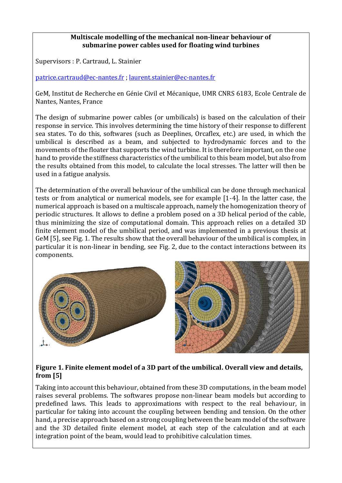## **Multiscale modelling of the mechanical non-linear behaviour of submarine power cables used for floating wind turbines**<br>
<del>4.4 Essai numéri que sur la plum</del>éri que sur l'altres com pluméri que sur l'altres sur l'altres sur l'altres sur

Supervisors : P. Cartraud, L. Stainier D ans cette section, nous présentons l es r ésultat s obtenus sur l e modèl e complet du câbl e dyna-

[patrice.cartraud@ec-nantes.fr](mailto:patrice.cartraud@ec-nantes.fr) [; laurent.stainier@ec-nantes.fr](mailto:laurent.stainier@ec-nantes.fr) premier temps, une description du modèle numérique est proposée. Par la suite nous détaillers de transformation<br>Par les proposées de transformation de transformation de transformation de transformation de transformation de

 $\vert$  GeM, Institut de Recherche en Génie Civil et Mécanique, UMR CNRS 6183, Ecole Centrale de  $\vert$ Nantes, Nantes, France

The design of submarine power cables (or umbilicals) is based on the calculation of their  $\frac{1}{2}$ response in service. This involves determining the time history of their response to different sea states. To do this, softwares (such as Deeplines, Orcaflex, etc.) are used, in which the  $\vert$  $\vert$  umbilical is described as a beam, and subjected to hydrodynamic forces and to the  $\vert$ | movements of the floater that supports the wind turbine. It is therefore important, on the one  $\vert$ | hand to provide the stiffness characteristics of the umbilical to this beam model, but also from  $\vert$ the results obtained from this model, to calculate the local stresses. The latter will then be  $\vert$ couches d'armures sont modélisées par des éléments par des éléments par des éléments par des éléments par des éléments par des éléments pourres de contact. Concernant, qui encontract de contact. Concernant, qui encontract

The determination of the overall behaviour of the umbilical can be done through mechanical tests or from analytical or numerical models, see for example [1-4]. In the latter case, the numerical approach is based on a multiscale approach, namely the homogenization theory of  $\vert$ periodic structures. It allows to define a problem posed on a 3D helical period of the cable, thus minimizing the size of computational domain. This approach relies on a detailed 3D finite element model of the umbilical period, and was implemented in a previous thesis at  $\begin{bmatrix} 1 & 0 \\ 0 & 0 \end{bmatrix}$ GeM [5], see Fig. 1. The results show that the overall behaviour of the umbilical is complex, in particular it is non-linear in bending, see Fig. 2, due to the contact interactions between its components. les brins constituant s les écrans du câble dynamique, nous avons fai t l e choi x de les représenter par





## **Figure 1. Finite element model of a 3D part of the umbilical. Overall view and details, from [5]**  Figu r <sup>e</sup> 4.23

Taking into account this behaviour, obtained from these 3D computations, in the beam model raises several problems. The softwares propose non-linear beam models but according to predefined laws. This leads to approximations with respect to the real behaviour, in predefined taking into account the coupling between bending and tension. On the other particular for taking into account the coupling between bending and tension. On the other hand, a precise approach based on a strong coupling between the beam model of the software and the 3D detailed finite element model, at each step of the calculation and at each integration point of the beam, would lead to prohibitive calculation times.

*M odélisation des câbles électriques utilisés dans les éoliennes flottantes*